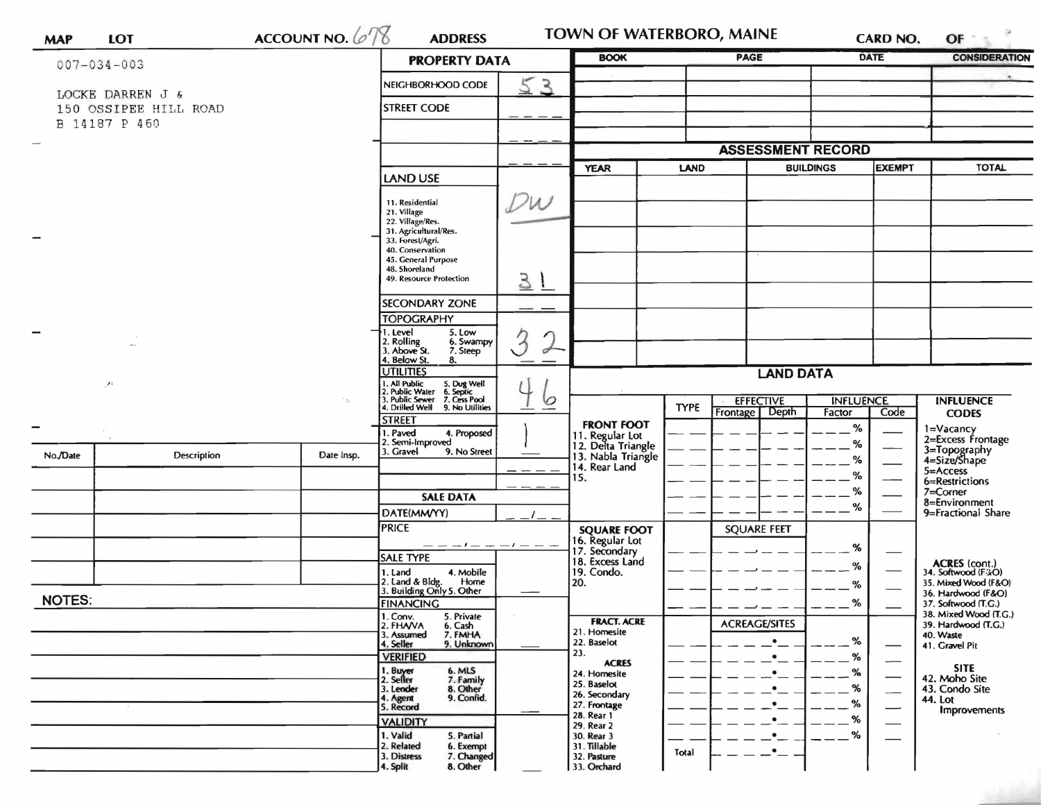| <b>MAP</b>        | <b>LOT</b>                             | ACCOUNT NO. 678                | <b>ADDRESS</b>                                                            | TOWN OF WATERBORO, MAINE |                                       |             |                                    | <b>CARD NO.</b>            | $OF+$                         |                                              |
|-------------------|----------------------------------------|--------------------------------|---------------------------------------------------------------------------|--------------------------|---------------------------------------|-------------|------------------------------------|----------------------------|-------------------------------|----------------------------------------------|
| $007 - 034 - 003$ |                                        | <b>PROPERTY DATA</b>           |                                                                           | <b>BOOK</b>              |                                       |             | <b>PAGE</b>                        |                            | <b>DATE</b>                   | <b>CONSIDERATION</b>                         |
|                   |                                        |                                | NEIGHBORHOOD CODE                                                         | 53                       |                                       |             |                                    |                            |                               |                                              |
|                   | LOCKE DARREN J &                       |                                |                                                                           |                          |                                       |             |                                    |                            |                               |                                              |
|                   | 150 OSSIPEE HILL ROAD<br>B 14187 P 460 |                                | <b>STREET CODE</b>                                                        |                          |                                       |             |                                    |                            |                               |                                              |
|                   |                                        |                                |                                                                           |                          |                                       |             |                                    |                            |                               |                                              |
|                   |                                        |                                |                                                                           |                          |                                       |             | <b>ASSESSMENT RECORD</b>           |                            |                               |                                              |
|                   |                                        |                                |                                                                           |                          | <b>YEAR</b><br><b>LAND</b>            |             | <b>EXEMPT</b><br><b>BUILDINGS</b>  |                            | <b>TOTAL</b>                  |                                              |
|                   |                                        | <b>LAND USE</b>                |                                                                           |                          |                                       |             |                                    |                            |                               |                                              |
|                   |                                        | 11. Residential<br>21. Village | $D_{W}$                                                                   |                          |                                       |             |                                    |                            |                               |                                              |
|                   |                                        |                                | 22. Village/Res.                                                          |                          |                                       |             |                                    |                            |                               |                                              |
|                   |                                        |                                | 31. Agricultural/Res.<br>33. Forest/Agri.                                 |                          |                                       |             |                                    |                            |                               |                                              |
|                   |                                        |                                | 40. Conservation<br>45. General Purpose                                   |                          |                                       |             |                                    |                            |                               |                                              |
|                   |                                        |                                | 48. Shoreland<br>49. Resource Protection                                  | 31                       |                                       |             |                                    |                            |                               |                                              |
|                   |                                        |                                |                                                                           |                          |                                       |             |                                    |                            |                               |                                              |
|                   |                                        |                                | <b>SECONDARY ZONE</b><br><b>TOPOGRAPHY</b>                                |                          |                                       |             |                                    |                            |                               |                                              |
|                   |                                        |                                | 1. Level<br>5. Low                                                        |                          |                                       |             |                                    |                            |                               |                                              |
|                   |                                        |                                | 2. Rolling<br>3. Above St.<br>6. Swampy<br>7. Steep<br>4. Below St.<br>8. | $\sigma$                 |                                       |             |                                    |                            |                               |                                              |
|                   |                                        |                                | <b>UTILITIES</b>                                                          |                          | <b>LAND DATA</b>                      |             |                                    |                            |                               |                                              |
|                   | A                                      |                                | . All Public<br>!. Public Water<br>5. Dug Well<br>6. Septic               |                          |                                       |             |                                    |                            |                               |                                              |
|                   |                                        |                                | 3. Public Sewer 7. Cess Pool<br>4. Drilled Well<br>9. No Utilities        | 0                        |                                       | <b>TYPE</b> | <b>EFFECTIVE</b><br>Frontage Depth | <b>INFLUENCE</b><br>Factor | Code                          | <b>INFLUENCE</b><br><b>CODES</b>             |
|                   |                                        |                                | <b>STREET</b><br>1. Paved<br>4. Proposed                                  |                          | <b>FRONT FOOT</b>                     |             |                                    | $\%$                       |                               |                                              |
|                   |                                        |                                | 2. Semi-Improved<br>3. Gravel                                             |                          | 11. Regular Lot<br>12. Delta Triangle |             |                                    | %                          |                               | 1=Vacancy<br>2=Excess Frontage               |
| No./Date          | Description                            | Date Insp.                     | 9. No Street                                                              |                          | 13. Nabla Triangle<br>14. Rear Land   |             |                                    | %                          |                               | 3=Topography<br>4=Size/Shape                 |
|                   |                                        |                                |                                                                           |                          | 15.                                   |             |                                    | $\%$                       |                               | $5 =$ Access<br>6=Restrictions               |
|                   |                                        |                                | <b>SALE DATA</b>                                                          |                          |                                       |             |                                    | %                          |                               | 7=Corner<br>8=Environment                    |
|                   |                                        |                                | DATE(MM/YY)                                                               |                          |                                       |             |                                    | %                          |                               | 9=Fractional Share                           |
|                   |                                        |                                | <b>PRICE</b>                                                              |                          | <b>SQUARE FOOT</b>                    |             | <b>SQUARE FEET</b>                 |                            |                               |                                              |
|                   |                                        |                                | — — — ! — — — — — — —<br><b>SALE TYPE</b>                                 |                          | 16. Regular Lot<br>17. Secondary      |             |                                    | %                          |                               |                                              |
|                   |                                        |                                | 1. Land<br>4. Mobile                                                      |                          | 18. Excess Land<br>19. Condo.         |             |                                    | %                          |                               | ACRES (cont.)<br>34. Softwood (F/zO)         |
|                   |                                        |                                | 2. Land & Bldg. Home<br>3. Building Only 5. Other<br>Home                 |                          | 20.                                   |             |                                    | %                          |                               | 35. Mixed Wood (F&O)<br>36. Hardwood (F&O)   |
|                   | <b>NOTES:</b>                          |                                | <b>FINANCING</b>                                                          |                          |                                       |             |                                    | %                          |                               | 37. Softwood (T.G.)                          |
|                   |                                        |                                | 1. Conv.<br>2. FHAVA<br>5. Private<br>6. Cash                             |                          | <b>FRACT. ACRE</b>                    |             | <b>ACREAGE/SITES</b>               |                            |                               | 38. Mixed Wood (T.G.)<br>39. Hardwood (T.G.) |
|                   |                                        |                                | 3. Assumed<br>7. FMHA<br>4. Seller<br>9. Unknown                          |                          | 21. Homesite<br>22. Baselot           |             | $\bullet$                          | %                          |                               | 40. Waste<br>41. Gravel Pit                  |
|                   |                                        |                                | <b>VERIFIED</b>                                                           |                          | 23.<br><b>ACRES</b>                   |             | $\bullet$                          | %                          | -                             |                                              |
|                   |                                        |                                | 1. Buyer<br>2. Seller<br>6. MLS<br>7. Family                              |                          | 24. Homesite                          |             | $\bullet$                          | ℅                          | $\overbrace{\phantom{aaaaa}}$ | <b>SITE</b><br>42. Moho Site                 |
|                   |                                        |                                | 3. Lender<br>8. Other<br>9. Confid.<br>4. Agent                           |                          | 25. Baselot<br>26. Secondary          |             |                                    | %                          | $\overline{\phantom{0}}$      | 43. Condo Site<br>44. Lot                    |
|                   |                                        |                                | 5. Record                                                                 |                          | 27. Frontage<br>28. Rear 1            |             |                                    | %                          | —                             | Improvements                                 |
|                   |                                        |                                | <b>VALIDITY</b><br>1. Valid                                               |                          | 29. Rear 2                            |             | ٠                                  | %<br>%                     |                               |                                              |
|                   |                                        |                                | 5. Partial<br>2. Related<br>6. Exempt                                     |                          | 30. Rear 3<br>31. Tillable            | Total       | $\bullet_{--}$                     |                            |                               |                                              |
|                   |                                        |                                | 7. Changed<br>3. Distress<br>4. Split<br>8. Other                         |                          | 32. Pasture<br>33. Orchard            |             |                                    |                            |                               |                                              |